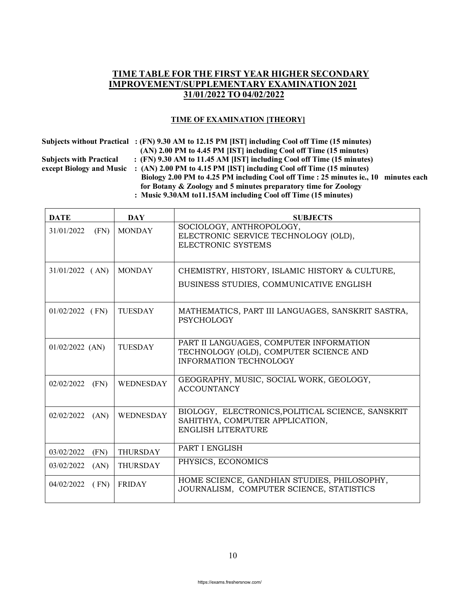## **TIME TABLE FOR THE FIRST YEAR HIGHER SECONDARY IMPROVEMENT/SUPPLEMENTARY EXAMINATION 2021 31/01/2022 TO 04/02/2022**

## **TIME OF EXAMINATION [THEORY]**

| $\overline{S}$ udiects without fractical $\overline{S}$ (F |             |
|------------------------------------------------------------|-------------|
|                                                            | <b>(A</b>   |
| <b>Subjects with Practical</b>                             | $\colon$ (F |
| except Biology and Music                                   | $\colon (A$ |
|                                                            |             |

 **Subjects without Practical : (FN) 9.30 AM to 12.15 PM [IST] including Cool off Time (15 minutes) (AN) 2.00 PM to 4.45 PM [IST] including Cool off Time (15 minutes) SN**) 9.30 AM to 11.45 AM [IST] including Cool off Time (15 minutes) **AN) 2.00 PM to 4.15 PM [IST] including Cool off Time (15 minutes) Biology 2.00 PM to 4.25 PM including Cool off Time : 25 minutes ie., 10 minutes each for Botany & Zoology and 5 minutes preparatory time for Zoology : Music 9.30AM to11.15AM including Cool off Time (15 minutes)**

| <b>DATE</b>        | <b>DAY</b>       | <b>SUBJECTS</b>                                                                                                    |
|--------------------|------------------|--------------------------------------------------------------------------------------------------------------------|
| (FN)<br>31/01/2022 | <b>MONDAY</b>    | SOCIOLOGY, ANTHROPOLOGY,<br>ELECTRONIC SERVICE TECHNOLOGY (OLD),<br>ELECTRONIC SYSTEMS                             |
| $31/01/2022$ (AN)  | <b>MONDAY</b>    | CHEMISTRY, HISTORY, ISLAMIC HISTORY & CULTURE,<br>BUSINESS STUDIES, COMMUNICATIVE ENGLISH                          |
| $01/02/2022$ (FN)  | <b>TUESDAY</b>   | MATHEMATICS, PART III LANGUAGES, SANSKRIT SASTRA,<br><b>PSYCHOLOGY</b>                                             |
| $01/02/2022$ (AN)  | <b>TUESDAY</b>   | PART II LANGUAGES, COMPUTER INFORMATION<br>TECHNOLOGY (OLD), COMPUTER SCIENCE AND<br><b>INFORMATION TECHNOLOGY</b> |
| (FN)<br>02/02/2022 | <b>WEDNESDAY</b> | GEOGRAPHY, MUSIC, SOCIAL WORK, GEOLOGY,<br><b>ACCOUNTANCY</b>                                                      |
| 02/02/2022<br>(AN) | <b>WEDNESDAY</b> | BIOLOGY, ELECTRONICS, POLITICAL SCIENCE, SANSKRIT<br>SAHITHYA, COMPUTER APPLICATION,<br><b>ENGLISH LITERATURE</b>  |
| 03/02/2022<br>(FN) | <b>THURSDAY</b>  | PART I ENGLISH                                                                                                     |
| 03/02/2022<br>(AN) | <b>THURSDAY</b>  | PHYSICS, ECONOMICS                                                                                                 |
| 04/02/2022<br>(FN) | <b>FRIDAY</b>    | HOME SCIENCE, GANDHIAN STUDIES, PHILOSOPHY,<br>JOURNALISM, COMPUTER SCIENCE, STATISTICS                            |